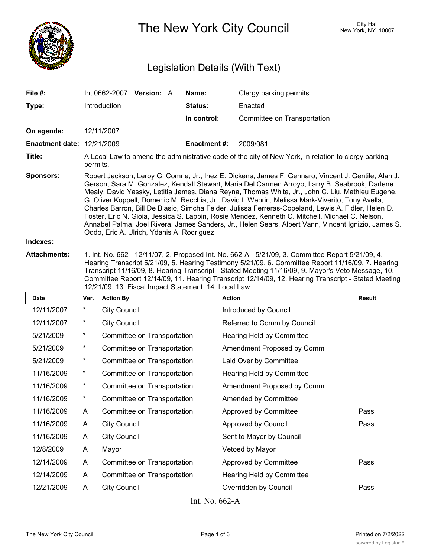

The New York City Council New York, NY 10007

## Legislation Details (With Text)

| File #:                           |                                                                                                                                                                                                                                                                                                                                                                                                                                                                                                                                                                                                                                                                                                                                                                              |                     | Int 0662-2007 Version: A    |  | Name:              | Clergy parking permits.     |               |  |
|-----------------------------------|------------------------------------------------------------------------------------------------------------------------------------------------------------------------------------------------------------------------------------------------------------------------------------------------------------------------------------------------------------------------------------------------------------------------------------------------------------------------------------------------------------------------------------------------------------------------------------------------------------------------------------------------------------------------------------------------------------------------------------------------------------------------------|---------------------|-----------------------------|--|--------------------|-----------------------------|---------------|--|
| Type:                             |                                                                                                                                                                                                                                                                                                                                                                                                                                                                                                                                                                                                                                                                                                                                                                              | Introduction        |                             |  | <b>Status:</b>     | Enacted                     |               |  |
|                                   |                                                                                                                                                                                                                                                                                                                                                                                                                                                                                                                                                                                                                                                                                                                                                                              |                     |                             |  | In control:        | Committee on Transportation |               |  |
| On agenda:                        |                                                                                                                                                                                                                                                                                                                                                                                                                                                                                                                                                                                                                                                                                                                                                                              | 12/11/2007          |                             |  |                    |                             |               |  |
| <b>Enactment date: 12/21/2009</b> |                                                                                                                                                                                                                                                                                                                                                                                                                                                                                                                                                                                                                                                                                                                                                                              |                     |                             |  | <b>Enactment#:</b> | 2009/081                    |               |  |
| Title:                            | A Local Law to amend the administrative code of the city of New York, in relation to clergy parking<br>permits.                                                                                                                                                                                                                                                                                                                                                                                                                                                                                                                                                                                                                                                              |                     |                             |  |                    |                             |               |  |
| <b>Sponsors:</b>                  | Robert Jackson, Leroy G. Comrie, Jr., Inez E. Dickens, James F. Gennaro, Vincent J. Gentile, Alan J.<br>Gerson, Sara M. Gonzalez, Kendall Stewart, Maria Del Carmen Arroyo, Larry B. Seabrook, Darlene<br>Mealy, David Yassky, Letitia James, Diana Reyna, Thomas White, Jr., John C. Liu, Mathieu Eugene,<br>G. Oliver Koppell, Domenic M. Recchia, Jr., David I. Weprin, Melissa Mark-Viverito, Tony Avella,<br>Charles Barron, Bill De Blasio, Simcha Felder, Julissa Ferreras-Copeland, Lewis A. Fidler, Helen D.<br>Foster, Eric N. Gioia, Jessica S. Lappin, Rosie Mendez, Kenneth C. Mitchell, Michael C. Nelson,<br>Annabel Palma, Joel Rivera, James Sanders, Jr., Helen Sears, Albert Vann, Vincent Ignizio, James S.<br>Oddo, Eric A. Ulrich, Ydanis A. Rodriguez |                     |                             |  |                    |                             |               |  |
| Indexes:                          |                                                                                                                                                                                                                                                                                                                                                                                                                                                                                                                                                                                                                                                                                                                                                                              |                     |                             |  |                    |                             |               |  |
| <b>Attachments:</b>               | 1. Int. No. 662 - 12/11/07, 2. Proposed Int. No. 662-A - 5/21/09, 3. Committee Report 5/21/09, 4.<br>Hearing Transcript 5/21/09, 5. Hearing Testimony 5/21/09, 6. Committee Report 11/16/09, 7. Hearing<br>Transcript 11/16/09, 8. Hearing Transcript - Stated Meeting 11/16/09, 9. Mayor's Veto Message, 10.<br>Committee Report 12/14/09, 11. Hearing Transcript 12/14/09, 12. Hearing Transcript - Stated Meeting<br>12/21/09, 13. Fiscal Impact Statement, 14. Local Law                                                                                                                                                                                                                                                                                                 |                     |                             |  |                    |                             |               |  |
| Date                              | Ver.                                                                                                                                                                                                                                                                                                                                                                                                                                                                                                                                                                                                                                                                                                                                                                         | <b>Action By</b>    |                             |  |                    | <b>Action</b>               | <b>Result</b> |  |
| 12/11/2007                        | *                                                                                                                                                                                                                                                                                                                                                                                                                                                                                                                                                                                                                                                                                                                                                                            | <b>City Council</b> |                             |  |                    | Introduced by Council       |               |  |
| 12/11/2007                        | $\ast$                                                                                                                                                                                                                                                                                                                                                                                                                                                                                                                                                                                                                                                                                                                                                                       | <b>City Council</b> |                             |  |                    | Referred to Comm by Council |               |  |
| 5/21/2009                         | *                                                                                                                                                                                                                                                                                                                                                                                                                                                                                                                                                                                                                                                                                                                                                                            |                     | Committee on Transportation |  |                    | Hearing Held by Committee   |               |  |
| 5/21/2009                         | $\ast$                                                                                                                                                                                                                                                                                                                                                                                                                                                                                                                                                                                                                                                                                                                                                                       |                     | Committee on Transportation |  |                    | Amendment Proposed by Comm  |               |  |
| 5/21/2009                         | *                                                                                                                                                                                                                                                                                                                                                                                                                                                                                                                                                                                                                                                                                                                                                                            |                     | Committee on Transportation |  |                    | Laid Over by Committee      |               |  |
| 11/16/2009                        | $^\star$                                                                                                                                                                                                                                                                                                                                                                                                                                                                                                                                                                                                                                                                                                                                                                     |                     | Committee on Transportation |  |                    | Hearing Held by Committee   |               |  |
| 11/16/2009                        | $\ast$                                                                                                                                                                                                                                                                                                                                                                                                                                                                                                                                                                                                                                                                                                                                                                       |                     | Committee on Transportation |  |                    | Amendment Proposed by Comm  |               |  |
| 11/16/2009                        | $^\star$                                                                                                                                                                                                                                                                                                                                                                                                                                                                                                                                                                                                                                                                                                                                                                     |                     | Committee on Transportation |  |                    | Amended by Committee        |               |  |
| 11/16/2009                        | A                                                                                                                                                                                                                                                                                                                                                                                                                                                                                                                                                                                                                                                                                                                                                                            |                     | Committee on Transportation |  |                    | Approved by Committee       | Pass          |  |

| 11/16/2009 | A | Committee on Transportation | Approved by Committee     | Pass |
|------------|---|-----------------------------|---------------------------|------|
| 11/16/2009 | A | City Council                | Approved by Council       | Pass |
| 11/16/2009 | A | <b>City Council</b>         | Sent to Mayor by Council  |      |
| 12/8/2009  | А | Mayor                       | Vetoed by Mayor           |      |
| 12/14/2009 | A | Committee on Transportation | Approved by Committee     | Pass |
| 12/14/2009 | A | Committee on Transportation | Hearing Held by Committee |      |
| 12/21/2009 | A | <b>City Council</b>         | Overridden by Council     | Pass |
|            |   |                             |                           |      |

Int. No. 662-A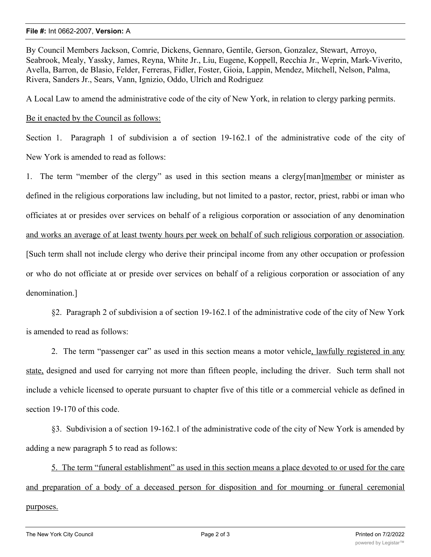## **File #:** Int 0662-2007, **Version:** A

By Council Members Jackson, Comrie, Dickens, Gennaro, Gentile, Gerson, Gonzalez, Stewart, Arroyo, Seabrook, Mealy, Yassky, James, Reyna, White Jr., Liu, Eugene, Koppell, Recchia Jr., Weprin, Mark-Viverito, Avella, Barron, de Blasio, Felder, Ferreras, Fidler, Foster, Gioia, Lappin, Mendez, Mitchell, Nelson, Palma, Rivera, Sanders Jr., Sears, Vann, Ignizio, Oddo, Ulrich and Rodriguez

A Local Law to amend the administrative code of the city of New York, in relation to clergy parking permits.

Be it enacted by the Council as follows:

Section 1. Paragraph 1 of subdivision a of section 19-162.1 of the administrative code of the city of New York is amended to read as follows:

1. The term "member of the clergy" as used in this section means a clergy[man]member or minister as defined in the religious corporations law including, but not limited to a pastor, rector, priest, rabbi or iman who officiates at or presides over services on behalf of a religious corporation or association of any denomination and works an average of at least twenty hours per week on behalf of such religious corporation or association. [Such term shall not include clergy who derive their principal income from any other occupation or profession or who do not officiate at or preside over services on behalf of a religious corporation or association of any denomination.]

§2. Paragraph 2 of subdivision a of section 19-162.1 of the administrative code of the city of New York is amended to read as follows:

2. The term "passenger car" as used in this section means a motor vehicle, lawfully registered in any state, designed and used for carrying not more than fifteen people, including the driver. Such term shall not include a vehicle licensed to operate pursuant to chapter five of this title or a commercial vehicle as defined in section 19-170 of this code.

§3. Subdivision a of section 19-162.1 of the administrative code of the city of New York is amended by adding a new paragraph 5 to read as follows:

5. The term "funeral establishment" as used in this section means a place devoted to or used for the care and preparation of a body of a deceased person for disposition and for mourning or funeral ceremonial purposes.

 $\overline{A}$  . Subdivision b of section 19-162.1 of the administrative code of  $\overline{A}$